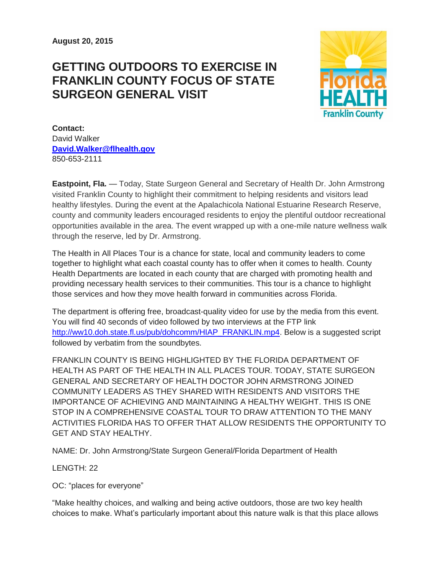## **GETTING OUTDOORS TO EXERCISE IN FRANKLIN COUNTY FOCUS OF STATE SURGEON GENERAL VISIT**



**Contact:**  David Walker **[David.Walker@flhealth.gov](mailto:David.Walker@flhealth.gov)** 850-653-2111

**Eastpoint, Fla.** — Today, State Surgeon General and Secretary of Health Dr. John Armstrong visited Franklin County to highlight their commitment to helping residents and visitors lead healthy lifestyles. During the event at the Apalachicola National Estuarine Research Reserve, county and community leaders encouraged residents to enjoy the plentiful outdoor recreational opportunities available in the area. The event wrapped up with a one-mile nature wellness walk through the reserve, led by Dr. Armstrong.

The Health in All Places Tour is a chance for state, local and community leaders to come together to highlight what each coastal county has to offer when it comes to health. County Health Departments are located in each county that are charged with promoting health and providing necessary health services to their communities. This tour is a chance to highlight those services and how they move health forward in communities across Florida.

The department is offering free, broadcast-quality video for use by the media from this event. You will find 40 seconds of video followed by two interviews at the FTP link [http://ww10.doh.state.fl.us/pub/dohcomm/HIAP\\_FRANKLIN.mp4.](http://ww10.doh.state.fl.us/pub/dohcomm/HIAP_FRANKLIN.mp4) Below is a suggested script followed by verbatim from the soundbytes.

FRANKLIN COUNTY IS BEING HIGHLIGHTED BY THE FLORIDA DEPARTMENT OF HEALTH AS PART OF THE HEALTH IN ALL PLACES TOUR. TODAY, STATE SURGEON GENERAL AND SECRETARY OF HEALTH DOCTOR JOHN ARMSTRONG JOINED COMMUNITY LEADERS AS THEY SHARED WITH RESIDENTS AND VISITORS THE IMPORTANCE OF ACHIEVING AND MAINTAINING A HEALTHY WEIGHT. THIS IS ONE STOP IN A COMPREHENSIVE COASTAL TOUR TO DRAW ATTENTION TO THE MANY ACTIVITIES FLORIDA HAS TO OFFER THAT ALLOW RESIDENTS THE OPPORTUNITY TO GET AND STAY HEALTHY.

NAME: Dr. John Armstrong/State Surgeon General/Florida Department of Health

LENGTH: 22

OC: "places for everyone"

"Make healthy choices, and walking and being active outdoors, those are two key health choices to make. What's particularly important about this nature walk is that this place allows